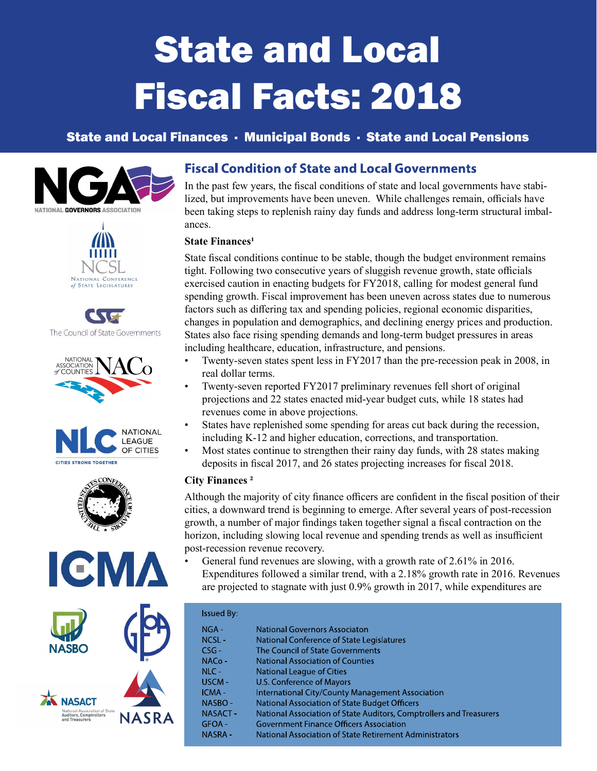# State and Local Fiscal Facts: 2018

# State and Local Finances · Municipal Bonds · State and Local Pensions















## **Fiscal Condition of State and Local Governments**

In the past few years, the fiscal conditions of state and local governments have stabilized, but improvements have been uneven. While challenges remain, officials have been taking steps to replenish rainy day funds and address long-term structural imbalances.

## **State Finances<sup>1</sup>**

State fiscal conditions continue to be stable, though the budget environment remains tight. Following two consecutive years of sluggish revenue growth, state officials exercised caution in enacting budgets for FY2018, calling for modest general fund spending growth. Fiscal improvement has been uneven across states due to numerous factors such as differing tax and spending policies, regional economic disparities, changes in population and demographics, and declining energy prices and production. States also face rising spending demands and long-term budget pressures in areas including healthcare, education, infrastructure, and pensions.

- Twenty-seven states spent less in FY2017 than the pre-recession peak in 2008, in real dollar terms.
- Twenty-seven reported FY2017 preliminary revenues fell short of original projections and 22 states enacted mid-year budget cuts, while 18 states had revenues come in above projections.
- States have replenished some spending for areas cut back during the recession, including K-12 and higher education, corrections, and transportation.
- Most states continue to strengthen their rainy day funds, with 28 states making deposits in fiscal 2017, and 26 states projecting increases for fiscal 2018.

## City Finances ²

Although the majority of city finance officers are confident in the fiscal position of their cities, a downward trend is beginning to emerge. After several years of post-recession growth, a number of major findings taken together signal a fiscal contraction on the horizon, including slowing local revenue and spending trends as well as insufficient post-recession revenue recovery.

• General fund revenues are slowing, with a growth rate of 2.61% in 2016. Expenditures followed a similar trend, with a 2.18% growth rate in 2016. Revenues are projected to stagnate with just 0.9% growth in 2017, while expenditures are

| <b>Issued By:</b> |                                                                     |
|-------------------|---------------------------------------------------------------------|
| NGA -             | <b>National Governors Associaton</b>                                |
| $NCSI -$          | National Conference of State Legislatures                           |
| $CSG-$            | The Council of State Governments                                    |
| $NACO -$          | <b>National Association of Counties</b>                             |
| $NLC -$           | National League of Cities                                           |
| USCM-             | U.S. Conference of Mayors                                           |
| ICMA-             | <b>International City/County Management Association</b>             |
| NASBO-            | National Association of State Budget Officers                       |
| NASACT-           | National Association of State Auditors, Comptrollers and Treasurers |
| GFOA-             | <b>Government Finance Officers Association</b>                      |
| <b>NASRA-</b>     | National Association of State Retirement Administrators             |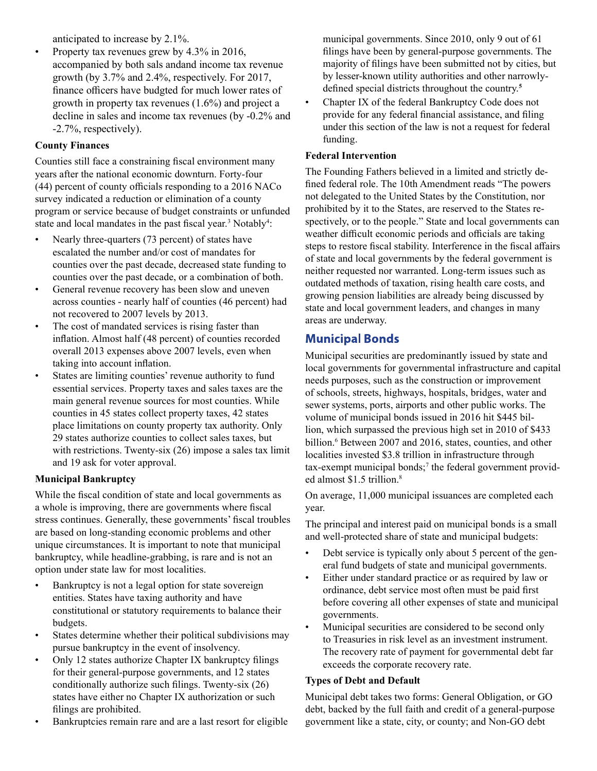anticipated to increase by 2.1%.

• Property tax revenues grew by 4.3% in 2016, accompanied by both sals andand income tax revenue growth (by 3.7% and 2.4%, respectively. For 2017, finance officers have budgted for much lower rates of growth in property tax revenues (1.6%) and project a decline in sales and income tax revenues (by -0.2% and -2.7%, respectively).

## County Finances

Counties still face a constraining fiscal environment many years after the national economic downturn. Forty-four  $(44)$  percent of county officials responding to a 2016 NACo survey indicated a reduction or elimination of a county program or service because of budget constraints or unfunded state and local mandates in the past fiscal year.<sup>3</sup> Notably<sup>4</sup>:

- Nearly three-quarters (73 percent) of states have escalated the number and/or cost of mandates for counties over the past decade, decreased state funding to counties over the past decade, or a combination of both.
- General revenue recovery has been slow and uneven across counties - nearly half of counties (46 percent) had not recovered to 2007 levels by 2013.
- The cost of mandated services is rising faster than inflation. Almost half (48 percent) of counties recorded overall 2013 expenses above 2007 levels, even when taking into account inflation.
- States are limiting counties' revenue authority to fund essential services. Property taxes and sales taxes are the main general revenue sources for most counties. While counties in 45 states collect property taxes, 42 states place limitations on county property tax authority. Only 29 states authorize counties to collect sales taxes, but with restrictions. Twenty-six (26) impose a sales tax limit and 19 ask for voter approval.

## Municipal Bankruptcy

While the fiscal condition of state and local governments as a whole is improving, there are governments where fiscal stress continues. Generally, these governments' fiscal troubles are based on long-standing economic problems and other unique circumstances. It is important to note that municipal bankruptcy, while headline-grabbing, is rare and is not an option under state law for most localities.

- Bankruptcy is not a legal option for state sovereign entities. States have taxing authority and have constitutional or statutory requirements to balance their budgets.
- States determine whether their political subdivisions may pursue bankruptcy in the event of insolvency.
- Only 12 states authorize Chapter IX bankruptcy filings for their general-purpose governments, and 12 states conditionally authorize such filings. Twenty-six  $(26)$ states have either no Chapter IX authorization or such filings are prohibited.
- Bankruptcies remain rare and are a last resort for eligible

municipal governments. Since 2010, only 9 out of 61 filings have been by general-purpose governments. The majority of filings have been submitted not by cities, but by lesser-known utility authorities and other narrowlydefined special districts throughout the country.<sup>5</sup>

• Chapter IX of the federal Bankruptcy Code does not provide for any federal financial assistance, and filing under this section of the law is not a request for federal funding.

## Federal Intervention

The Founding Fathers believed in a limited and strictly defined federal role. The 10th Amendment reads "The powers" not delegated to the United States by the Constitution, nor prohibited by it to the States, are reserved to the States respectively, or to the people." State and local governments can weather difficult economic periods and officials are taking steps to restore fiscal stability. Interference in the fiscal affairs of state and local governments by the federal government is neither requested nor warranted. Long-term issues such as outdated methods of taxation, rising health care costs, and growing pension liabilities are already being discussed by state and local government leaders, and changes in many areas are underway.

## **Municipal Bonds**

Municipal securities are predominantly issued by state and local governments for governmental infrastructure and capital needs purposes, such as the construction or improvement of schools, streets, highways, hospitals, bridges, water and sewer systems, ports, airports and other public works. The volume of municipal bonds issued in 2016 hit \$445 billion, which surpassed the previous high set in 2010 of \$433 billion.<sup>6</sup> Between 2007 and 2016, states, counties, and other localities invested \$3.8 trillion in infrastructure through tax-exempt municipal bonds;<sup>7</sup> the federal government provided almost \$1.5 trillion.<sup>8</sup>

On average, 11,000 municipal issuances are completed each year.

The principal and interest paid on municipal bonds is a small and well-protected share of state and municipal budgets:

- Debt service is typically only about 5 percent of the general fund budgets of state and municipal governments.
- Either under standard practice or as required by law or ordinance, debt service most often must be paid first before covering all other expenses of state and municipal governments.
- Municipal securities are considered to be second only to Treasuries in risk level as an investment instrument. The recovery rate of payment for governmental debt far exceeds the corporate recovery rate.

## Types of Debt and Default

Municipal debt takes two forms: General Obligation, or GO debt, backed by the full faith and credit of a general-purpose government like a state, city, or county; and Non-GO debt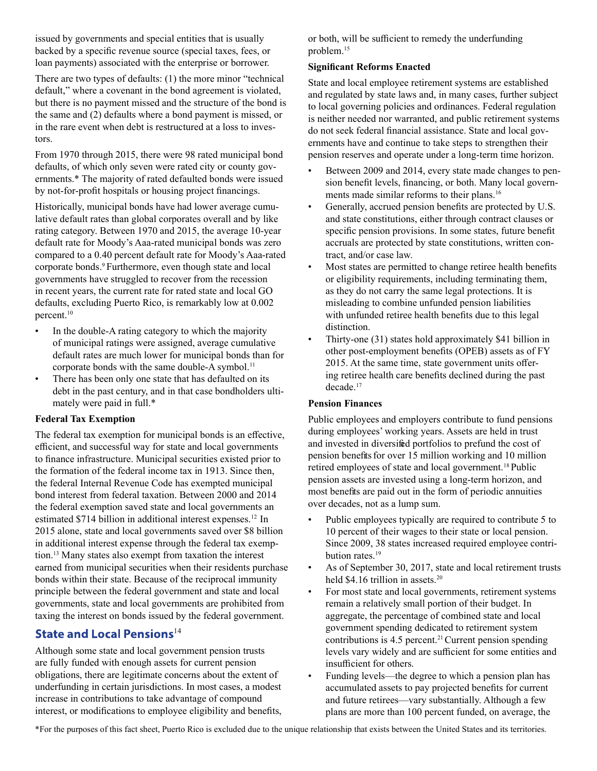issued by governments and special entities that is usually backed by a specific revenue source (special taxes, fees, or loan payments) associated with the enterprise or borrower.

There are two types of defaults: (1) the more minor "technical default," where a covenant in the bond agreement is violated, but there is no payment missed and the structure of the bond is the same and (2) defaults where a bond payment is missed, or in the rare event when debt is restructured at a loss to investors.

From 1970 through 2015, there were 98 rated municipal bond defaults, of which only seven were rated city or county governments.\* The majority of rated defaulted bonds were issued by not-for-profit hospitals or housing project financings.

Historically, municipal bonds have had lower average cumulative default rates than global corporates overall and by like rating category. Between 1970 and 2015, the average 10-year default rate for Moody's Aaa-rated municipal bonds was zero compared to a 0.40 percent default rate for Moody's Aaa-rated corporate bonds.<sup>9</sup> Furthermore, even though state and local governments have struggled to recover from the recession in recent years, the current rate for rated state and local GO defaults, excluding Puerto Rico, is remarkably low at 0.002 percent.<sup>10</sup>

- In the double-A rating category to which the majority of municipal ratings were assigned, average cumulative default rates are much lower for municipal bonds than for corporate bonds with the same double-A symbol.<sup>11</sup>
- There has been only one state that has defaulted on its debt in the past century, and in that case bondholders ultimately were paid in full.\*

#### Federal Tax Exemption

The federal tax exemption for municipal bonds is an effective, efficient, and successful way for state and local governments to finance infrastructure. Municipal securities existed prior to the formation of the federal income tax in 1913. Since then, the federal Internal Revenue Code has exempted municipal bond interest from federal taxation. Between 2000 and 2014 the federal exemption saved state and local governments an estimated \$714 billion in additional interest expenses.<sup>12</sup> In 2015 alone, state and local governments saved over \$8 billion in additional interest expense through the federal tax exemption.<sup>13</sup> Many states also exempt from taxation the interest earned from municipal securities when their residents purchase bonds within their state. Because of the reciprocal immunity principle between the federal government and state and local governments, state and local governments are prohibited from taxing the interest on bonds issued by the federal government.

# **State and Local Pensions**<sup>14</sup>

Although some state and local government pension trusts are fully funded with enough assets for current pension obligations, there are legitimate concerns about the extent of underfunding in certain jurisdictions. In most cases, a modest increase in contributions to take advantage of compound interest, or modifications to employee eligibility and benefits,

or both, will be sufficient to remedy the underfunding problem.<sup>15</sup>

### **Significant Reforms Enacted**

State and local employee retirement systems are established and regulated by state laws and, in many cases, further subject to local governing policies and ordinances. Federal regulation is neither needed nor warranted, and public retirement systems do not seek federal financial assistance. State and local governments have and continue to take steps to strengthen their pension reserves and operate under a long-term time horizon.

- Between 2009 and 2014, every state made changes to pension benefit levels, financing, or both. Many local governments made similar reforms to their plans.<sup>16</sup>
- Generally, accrued pension benefits are protected by U.S. and state constitutions, either through contract clauses or specific pension provisions. In some states, future benefit accruals are protected by state constitutions, written contract, and/or case law.
- Most states are permitted to change retiree health benefits or eligibility requirements, including terminating them, as they do not carry the same legal protections. It is misleading to combine unfunded pension liabilities with unfunded retiree health benefits due to this legal distinction.
- Thirty-one (31) states hold approximately \$41 billion in other post-employment benefits (OPEB) assets as of FY 2015. At the same time, state government units offering retiree health care benefits declined during the past decade.<sup>17</sup>

#### Pension Finances

Public employees and employers contribute to fund pensions during employees' working years. Assets are held in trust and invested in diversified portfolios to prefund the cost of pension benefits for over 15 million working and 10 million retired employees of state and local government.<sup>18</sup> Public pension assets are invested using a long-term horizon, and most benefits are paid out in the form of periodic annuities over decades, not as a lump sum.

- Public employees typically are required to contribute 5 to 10 percent of their wages to their state or local pension. Since 2009, 38 states increased required employee contribution rates.<sup>19</sup>
- As of September 30, 2017, state and local retirement trusts held \$4.16 trillion in assets.<sup>20</sup>
- For most state and local governments, retirement systems remain a relatively small portion of their budget. In aggregate, the percentage of combined state and local government spending dedicated to retirement system contributions is  $4.5$  percent.<sup>21</sup> Current pension spending levels vary widely and are sufficient for some entities and insufficient for others.
- Funding levels—the degree to which a pension plan has accumulated assets to pay projected benefits for current and future retirees—vary substantially. Although a few plans are more than 100 percent funded, on average, the

\*For the purposes of this fact sheet, Puerto Rico is excluded due to the unique relationship that exists between the United States and its territories.